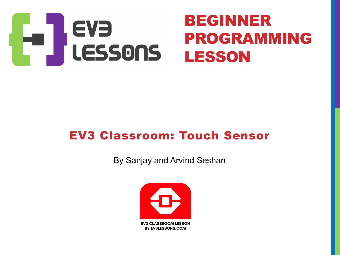

#### EV3 Classroom: Touch Sensor

By Sanjay and Arvind Seshan

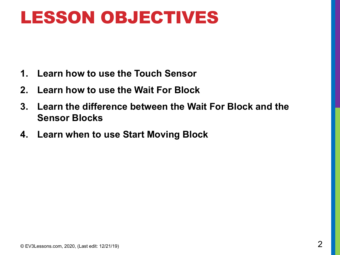#### LESSON OBJECTIVES

- **1. Learn how to use the Touch Sensor**
- **2. Learn how to use the Wait For Block**
- **3. Learn the difference between the Wait For Block and the Sensor Blocks**
- **4. Learn when to use Start Moving Block**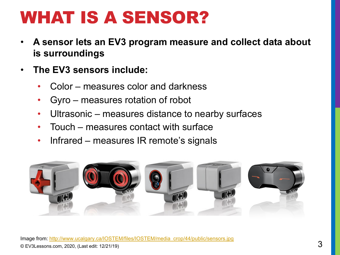# WHAT IS A SENSOR?

- A sensor lets an EV3 program measure and collect data a **is surroundings**
- **The EV3 sensors include:**
	- Color measures color and darkness
	- Gyro measures rotation of robot
	- Ultrasonic [measures distance to nearby su](http://www.ucalgary.ca/IOSTEM/files/IOSTEM/media_crop/44/public/sensors.jpg)rfaces
	- Touch measures contact with surface
	- Infrared measures IR remote's signals

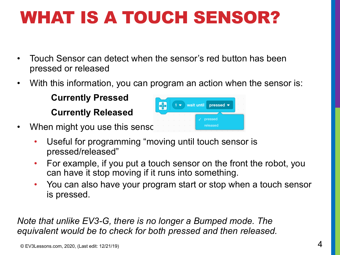# WHAT IS A TOUCH SENSOR?

- Touch Sensor can detect when the sensor's red button has been pressed or released
- With this information, you can program an action when the sensor is:

**Currently Pressed Currently Released**



- When might you use this sensor
	- Useful for programming "moving until touch sensor is pressed/released"
	- For example, if you put a touch sensor on the front the robot, you can have it stop moving if it runs into something.
	- You can also have your program start or stop when a touch sensor is pressed.

*Note that unlike EV3-G, there is no longer a Bumped mode. The equivalent would be to check for both pressed and then released.*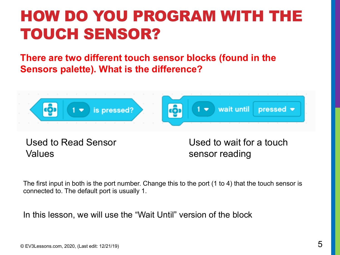#### HOW DO YOU PROGRAM WITH THE TOUCH SENSOR?

**There are two different touch sensor blocks (found in the Sensors palette). What is the difference?**



Used to Read Sensor Values

Used to wait for a touch sensor reading

The first input in both is the port number. Change this to the port (1 to 4) that the touch sensor is connected to. The default port is usually 1.

In this lesson, we will use the "Wait Until" version of the block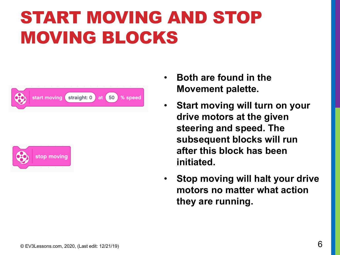# START MOVING AND STOP MOVING BLOCKS





- **Both are found in the Movement palette.**
- **Start moving will turn on your drive motors at the given steering and speed. The subsequent blocks will run after this block has been initiated.**
- **Stop moving will halt your drive motors no matter what action they are running.**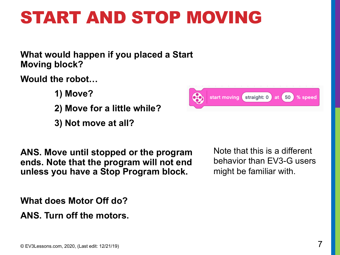## START AND STOP MOVING

**What would happen if you placed a Start Moving block?**

**Would the robot…**

- **1) Move?**
- **2) Move for a little while?**
- **3) Not move at all?**

**ANS. Move until stopped or the program ends. Note that the program will not end unless you have a Stop Program block.**

**What does Motor Off do?**

**ANS. Turn off the motors.**



Note that this is a different behavior than EV3-G users might be familiar with.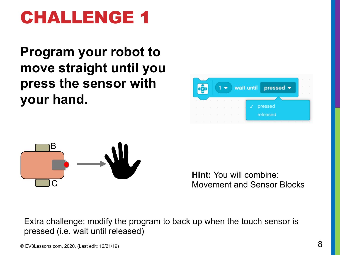## CHALLENGE 1

**Program your robot to move straight until you press the sensor with your hand.**





**Hint:** You will combine: Movement and Sensor Blocks

Extra challenge: modify the program to back up when the touch sensor is pressed (i.e. wait until released)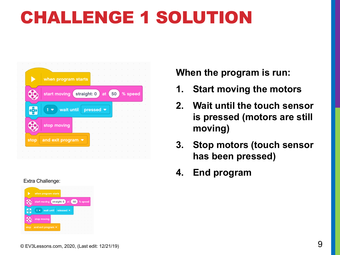# CHALLENGE 1 SOLUTION



#### Extra Challenge:



**When the program is run:**

- **1. Start moving the motors**
- **2. Wait until the touch sensor is pressed (motors are still moving)**
- **3. Stop motors (touch sensor has been pressed)**
- **4. End program**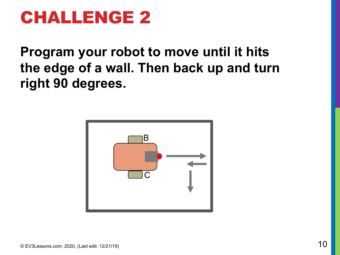#### CHALLENGE 2

**Program your robot to move until it hits the edge of a wall. Then back up and turn right 90 degrees.** 

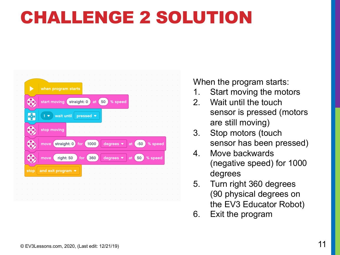## CHALLENGE 2 SOLUTION

|                                        | when program starts                                                             |
|----------------------------------------|---------------------------------------------------------------------------------|
| 햿                                      | start moving straight: 0<br>% speed<br>50<br>at                                 |
| CO)                                    | wait until<br>pressed •                                                         |
| Œ                                      | stop moving                                                                     |
| Œ                                      |                                                                                 |
|                                        | straight: 0 for 1000<br>degrees $\bullet$<br>% speed<br>move<br>$-50$<br>at     |
|                                        | degrees $\bullet$<br>right: 50<br>for $($<br>% speed<br>360<br>50<br>move<br>at |
|                                        | and exit program $\bullet$                                                      |
|                                        |                                                                                 |
| $\bullet$ $\overline{\bullet}$<br>stop |                                                                                 |

When the program starts:

- 1. Start moving the motors
- 2. Wait until the touch sensor is pressed (motors are still moving)
- 3. Stop motors (touch sensor has been pressed)
- 4. Move backwards (negative speed) for 1000 degrees
- 5. Turn right 360 degrees (90 physical degrees on the EV3 Educator Robot)
- 6. Exit the program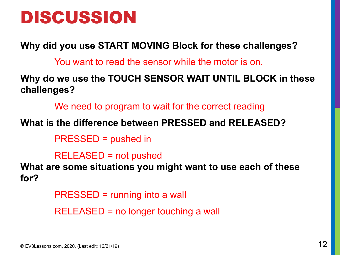#### DISCUSSION

**Why did you use START MOVING Block for these challenges?**

You want to read the sensor while the motor is on.

**Why do we use the TOUCH SENSOR WAIT UNTIL BLOCK in these challenges?**

We need to program to wait for the correct reading

#### **What is the difference between PRESSED and RELEASED?**

PRESSED = pushed in

RELEASED = not pushed

**What are some situations you might want to use each of these for?**

> PRESSED = running into a wall RELEASED = no longer touching a wall